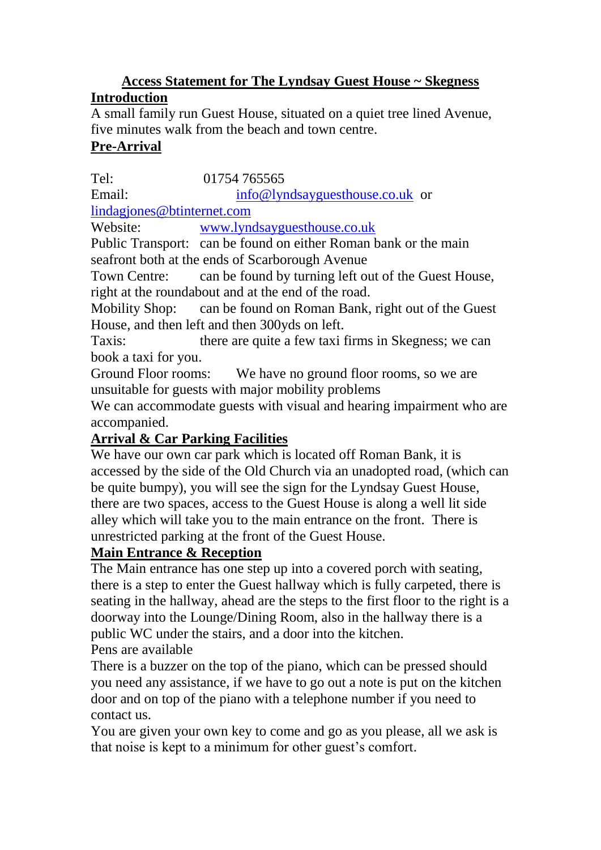#### **Access Statement for The Lyndsay Guest House ~ Skegness Introduction**

A small family run Guest House, situated on a quiet tree lined Avenue, five minutes walk from the beach and town centre.

### **Pre-Arrival**

Tel: 01754 765565

Email: [info@lyndsayguesthouse.co.uk](mailto:info@lyndsayguesthouse.co.uk) or [lindagjones@btinternet.com](mailto:lindagjones@btinternet.com)

Website: [www.lyndsayguesthouse.co.uk](http://www.lyndsayguesthouse.co.uk/)

Public Transport: can be found on either Roman bank or the main seafront both at the ends of Scarborough Avenue

Town Centre: can be found by turning left out of the Guest House, right at the roundabout and at the end of the road.

Mobility Shop: can be found on Roman Bank, right out of the Guest House, and then left and then 300yds on left.

Taxis: there are quite a few taxi firms in Skegness; we can book a taxi for you.

Ground Floor rooms: We have no ground floor rooms, so we are unsuitable for guests with major mobility problems

We can accommodate guests with visual and hearing impairment who are accompanied.

# **Arrival & Car Parking Facilities**

We have our own car park which is located off Roman Bank, it is accessed by the side of the Old Church via an unadopted road, (which can be quite bumpy), you will see the sign for the Lyndsay Guest House, there are two spaces, access to the Guest House is along a well lit side alley which will take you to the main entrance on the front. There is unrestricted parking at the front of the Guest House.

#### **Main Entrance & Reception**

The Main entrance has one step up into a covered porch with seating, there is a step to enter the Guest hallway which is fully carpeted, there is seating in the hallway, ahead are the steps to the first floor to the right is a doorway into the Lounge/Dining Room, also in the hallway there is a public WC under the stairs, and a door into the kitchen. Pens are available

There is a buzzer on the top of the piano, which can be pressed should you need any assistance, if we have to go out a note is put on the kitchen door and on top of the piano with a telephone number if you need to contact us.

You are given your own key to come and go as you please, all we ask is that noise is kept to a minimum for other guest's comfort.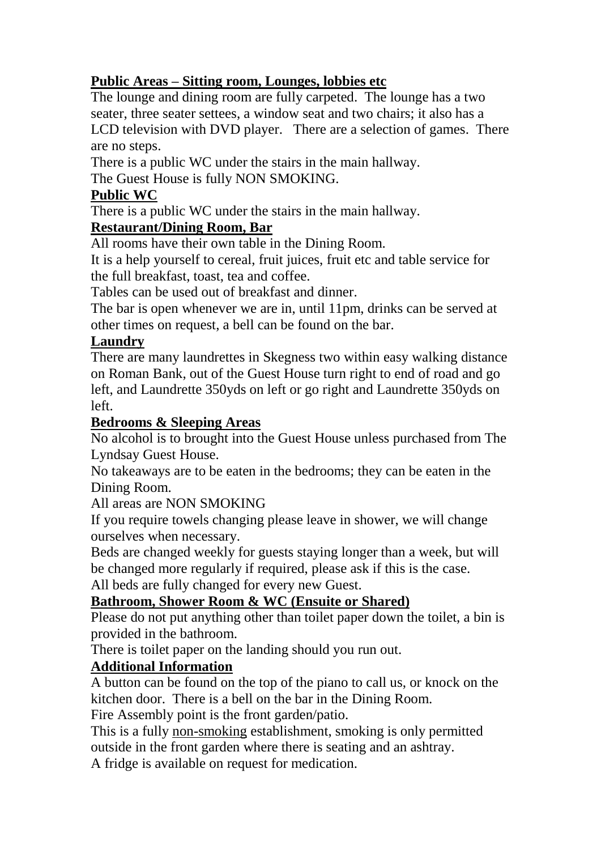## **Public Areas – Sitting room, Lounges, lobbies etc**

The lounge and dining room are fully carpeted. The lounge has a two seater, three seater settees, a window seat and two chairs; it also has a LCD television with DVD player. There are a selection of games. There are no steps.

There is a public WC under the stairs in the main hallway.

The Guest House is fully NON SMOKING.

### **Public WC**

There is a public WC under the stairs in the main hallway.

## **Restaurant/Dining Room, Bar**

All rooms have their own table in the Dining Room.

It is a help yourself to cereal, fruit juices, fruit etc and table service for the full breakfast, toast, tea and coffee.

Tables can be used out of breakfast and dinner.

The bar is open whenever we are in, until 11pm, drinks can be served at other times on request, a bell can be found on the bar.

## **Laundry**

There are many laundrettes in Skegness two within easy walking distance on Roman Bank, out of the Guest House turn right to end of road and go left, and Laundrette 350yds on left or go right and Laundrette 350yds on left.

### **Bedrooms & Sleeping Areas**

No alcohol is to brought into the Guest House unless purchased from The Lyndsay Guest House.

No takeaways are to be eaten in the bedrooms; they can be eaten in the Dining Room.

All areas are NON SMOKING

If you require towels changing please leave in shower, we will change ourselves when necessary.

Beds are changed weekly for guests staying longer than a week, but will be changed more regularly if required, please ask if this is the case.

All beds are fully changed for every new Guest.

# **Bathroom, Shower Room & WC (Ensuite or Shared)**

Please do not put anything other than toilet paper down the toilet, a bin is provided in the bathroom.

There is toilet paper on the landing should you run out.

# **Additional Information**

A button can be found on the top of the piano to call us, or knock on the kitchen door. There is a bell on the bar in the Dining Room.

Fire Assembly point is the front garden/patio.

This is a fully non-smoking establishment, smoking is only permitted outside in the front garden where there is seating and an ashtray.

A fridge is available on request for medication.